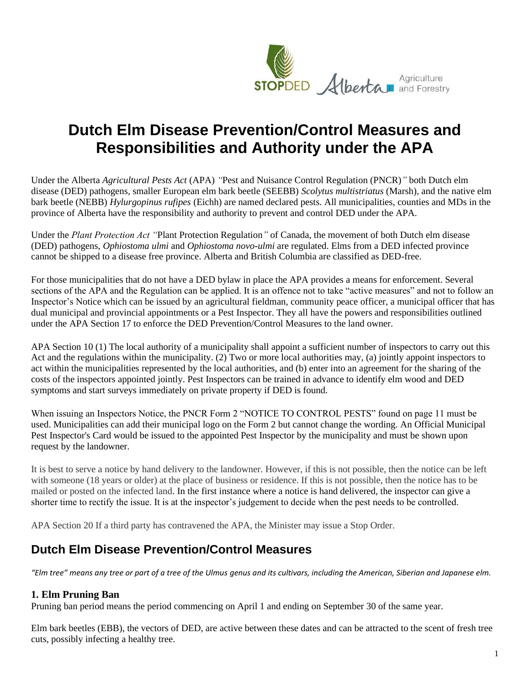

# **Dutch Elm Disease Prevention/Control Measures and Responsibilities and Authority under the APA**

Under the Alberta *Agricultural Pests Act* (APA) *"*Pest and Nuisance Control Regulation (PNCR)*"* both Dutch elm disease (DED) pathogens, smaller European elm bark beetle (SEEBB) *Scolytus multistriatus* (Marsh), and the native elm bark beetle (NEBB) *Hylurgopinus rufipes* (Eichh) are named declared pests. All municipalities, counties and MDs in the province of Alberta have the responsibility and authority to prevent and control DED under the APA.

Under the *Plant Protection Act "*Plant Protection Regulation*"* of Canada, the movement of both Dutch elm disease (DED) pathogens, *Ophiostoma ulmi* and *Ophiostoma novo-ulmi* are regulated. Elms from a DED infected province cannot be shipped to a disease free province. Alberta and British Columbia are classified as DED-free.

For those municipalities that do not have a DED bylaw in place the APA provides a means for enforcement. Several sections of the APA and the Regulation can be applied. It is an offence not to take "active measures" and not to follow an Inspector's Notice which can be issued by an agricultural fieldman, community peace officer, a municipal officer that has dual municipal and provincial appointments or a Pest Inspector. They all have the powers and responsibilities outlined under the APA Section 17 to enforce the DED Prevention/Control Measures to the land owner.

APA Section 10 (1) The local authority of a municipality shall appoint a sufficient number of inspectors to carry out this Act and the regulations within the municipality. (2) Two or more local authorities may, (a) jointly appoint inspectors to act within the municipalities represented by the local authorities, and (b) enter into an agreement for the sharing of the costs of the inspectors appointed jointly. Pest Inspectors can be trained in advance to identify elm wood and DED symptoms and start surveys immediately on private property if DED is found.

When issuing an Inspectors Notice, the PNCR Form 2 "NOTICE TO CONTROL PESTS" found on page 11 must be used. Municipalities can add their municipal logo on the Form 2 but cannot change the wording. An Official Municipal Pest Inspector's Card would be issued to the appointed Pest Inspector by the municipality and must be shown upon request by the landowner.

It is best to serve a notice by hand delivery to the landowner. However, if this is not possible, then the notice can be left with someone (18 years or older) at the place of business or residence. If this is not possible, then the notice has to be mailed or posted on the infected land. In the first instance where a notice is hand delivered, the inspector can give a shorter time to rectify the issue. It is at the inspector's judgement to decide when the pest needs to be controlled.

APA Section 20 If a third party has contravened the APA, the Minister may issue a Stop Order.

## **Dutch Elm Disease Prevention/Control Measures**

*"Elm tree" means any tree or part of a tree of the Ulmus genus and its cultivars, including the American, Siberian and Japanese elm.*

## **1. Elm Pruning Ban**

Pruning ban period means the period commencing on April 1 and ending on September 30 of the same year.

Elm bark beetles (EBB), the vectors of DED, are active between these dates and can be attracted to the scent of fresh tree cuts, possibly infecting a healthy tree.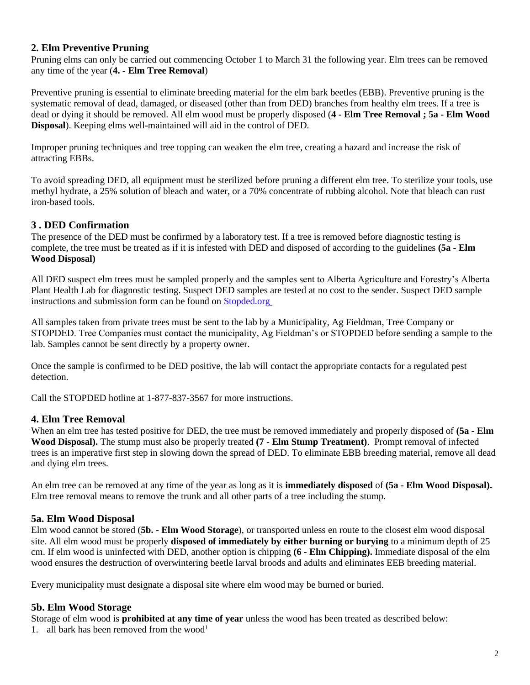### **2. Elm Preventive Pruning**

Pruning elms can only be carried out commencing October 1 to March 31 the following year. Elm trees can be removed any time of the year (**4. - Elm Tree Removal**)

Preventive pruning is essential to eliminate breeding material for the elm bark beetles (EBB). Preventive pruning is the systematic removal of dead, damaged, or diseased (other than from DED) branches from healthy elm trees. If a tree is dead or dying it should be removed. All elm wood must be properly disposed (**4 - [Elm Tree Removal ;](#page-1-0) 5a - [Elm Wood](#page-1-1) [Disposal](#page-1-1)**). Keeping elms well-maintained will aid in the control of DED.

Improper pruning techniques and tree topping can weaken the elm tree, creating a hazard and increase the risk of attracting EBBs.

To avoid spreading DED, all equipment must be sterilized before pruning a different elm tree. To sterilize your tools, use methyl hydrate, a 25% solution of bleach and water, or a 70% concentrate of rubbing alcohol. Note that bleach can rust iron-based tools.

#### **3 . DED Confirmation**

The presence of the DED must be confirmed by a laboratory test. If a tree is removed before diagnostic testing is complete, the tree must be treated as if it is infested with DED and disposed of according to the guidelines **(5a - [Elm](https://wm-no.glb.shawcable.net/zimbra/mail#_5a._Elm_Wood) [Wood Disposal\)](https://wm-no.glb.shawcable.net/zimbra/mail#_5a._Elm_Wood)**

All DED suspect elm trees must be sampled properly and the samples sent to Alberta Agriculture and Forestry's Alberta Plant Health Lab for diagnostic testing. Suspect DED samples are tested at no cost to the sender. Suspect DED sample instructions and submission form can be found on [Stopded.org](https://www.alberta.ca/dutch-elm-disease-sampling-procedures.aspx)

All samples taken from private trees must be sent to the lab by a Municipality, Ag Fieldman, Tree Company or STOPDED. Tree Companies must contact the municipality, Ag Fieldman's or STOPDED before sending a sample to the lab. Samples cannot be sent directly by a property owner.

Once the sample is confirmed to be DED positive, the lab will contact the appropriate contacts for a regulated pest detection.

Call the STOPDED hotline at 1-877-837-3567 for more instructions.

#### <span id="page-1-0"></span>**4. Elm Tree Removal**

When an elm tree has tested positive for DED, the tree must be removed immediately and properly disposed of **[\(5a -](#page-1-1) Elm [Wood Disposal\).](#page-1-1)** The stump must also be properly treated **(7 - [Elm Stump Treatment\)](#page-2-0)**. Prompt removal of infected trees is an imperative first step in slowing down the spread of DED. To eliminate EBB breeding material, remove all dead and dying elm trees.

An elm tree can be removed at any time of the year as long as it is **immediately disposed** of **(5a - [Elm Wood Disposal\).](#page-1-1)** Elm tree removal means to remove the trunk and all other parts of a tree including the stump.

#### <span id="page-1-1"></span>**5a. Elm Wood Disposal**

Elm wood cannot be stored (**5b. - [Elm Wood Storage](#page-1-2)**), or transported unless en route to the closest elm wood disposal site. All elm wood must be properly **disposed of immediately by either burning or burying** to a minimum depth of 25 cm. If elm wood is uninfected with DED, another option is chipping **(6 - [Elm Chipping\).](#page-2-1)** Immediate disposal of the elm wood ensures the destruction of overwintering beetle larval broods and adults and eliminates EEB breeding material.

Every municipality must designate a disposal site where elm wood may be burned or buried.

#### <span id="page-1-2"></span>**5b. Elm Wood Storage**

Storage of elm wood is **prohibited at any time of year** unless the wood has been treated as described below:

1. all bark has been removed from the wood<sup>1</sup>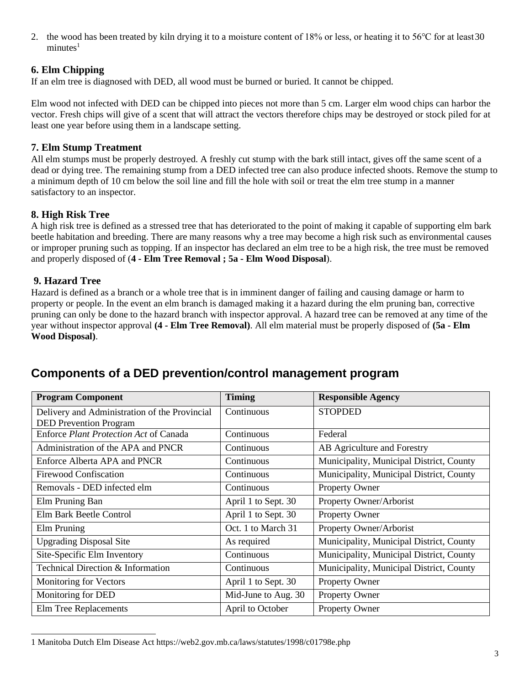2. the wood has been treated by kiln drying it to a moisture content of 18% or less, or heating it to 56℃ for at least30  $minutes<sup>1</sup>$ 

## <span id="page-2-1"></span>**6. Elm Chipping**

If an elm tree is diagnosed with DED, all wood must be burned or buried. It cannot be chipped.

Elm wood not infected with DED can be chipped into pieces not more than 5 cm. Larger elm wood chips can harbor the vector. Fresh chips will give of a scent that will attract the vectors therefore chips may be destroyed or stock piled for at least one year before using them in a landscape setting.

## <span id="page-2-0"></span>**7. Elm Stump Treatment**

All elm stumps must be properly destroyed. A freshly cut stump with the bark still intact, gives off the same scent of a dead or dying tree. The remaining stump from a DED infected tree can also produce infected shoots. Remove the stump to a minimum depth of 10 cm below the soil line and fill the hole with soil or treat the elm tree stump in a manner satisfactory to an inspector.

## **8. High Risk Tree**

A high risk tree is defined as a stressed tree that has deteriorated to the point of making it capable of supporting elm bark beetle habitation and breeding. There are many reasons why a tree may become a high risk such as environmental causes or improper pruning such as topping. If an inspector has declared an elm tree to be a high risk, the tree must be removed and properly disposed of (**4 - [Elm Tree Removal ;](#page-1-0) 5a - [Elm Wood Disposal](#page-1-1)**).

## **9. Hazard Tree**

Hazard is defined as a branch or a whole tree that is in imminent danger of failing and causing damage or harm to property or people. In the event an elm branch is damaged making it a hazard during the elm pruning ban, corrective pruning can only be done to the hazard branch with inspector approval. A hazard tree can be removed at any time of the year without inspector approval **(4 - [Elm Tree Removal\)](#page-1-0)**. All elm material must be properly disposed of **[\(5a -](#page-1-1) Elm [Wood Disposal\)](#page-1-1)**.

## **Components of a DED prevention/control management program**

| <b>Program Component</b>                      | <b>Timing</b>       | <b>Responsible Agency</b>                |
|-----------------------------------------------|---------------------|------------------------------------------|
| Delivery and Administration of the Provincial | Continuous          | <b>STOPDED</b>                           |
| <b>DED Prevention Program</b>                 |                     |                                          |
| Enforce Plant Protection Act of Canada        | Continuous          | Federal                                  |
| Administration of the APA and PNCR            | Continuous          | AB Agriculture and Forestry              |
| Enforce Alberta APA and PNCR                  | Continuous          | Municipality, Municipal District, County |
| <b>Firewood Confiscation</b>                  | Continuous          | Municipality, Municipal District, County |
| Removals - DED infected elm                   | Continuous          | Property Owner                           |
| Elm Pruning Ban                               | April 1 to Sept. 30 | Property Owner/Arborist                  |
| Elm Bark Beetle Control                       | April 1 to Sept. 30 | Property Owner                           |
| Elm Pruning                                   | Oct. 1 to March 31  | Property Owner/Arborist                  |
| <b>Upgrading Disposal Site</b>                | As required         | Municipality, Municipal District, County |
| Site-Specific Elm Inventory                   | Continuous          | Municipality, Municipal District, County |
| Technical Direction & Information             | Continuous          | Municipality, Municipal District, County |
| Monitoring for Vectors                        | April 1 to Sept. 30 | Property Owner                           |
| Monitoring for DED                            | Mid-June to Aug. 30 | Property Owner                           |
| Elm Tree Replacements                         | April to October    | <b>Property Owner</b>                    |

<sup>1</sup> Manitoba Dutch Elm Disease Act https://web2.gov.mb.ca/laws/statutes/1998/c01798e.php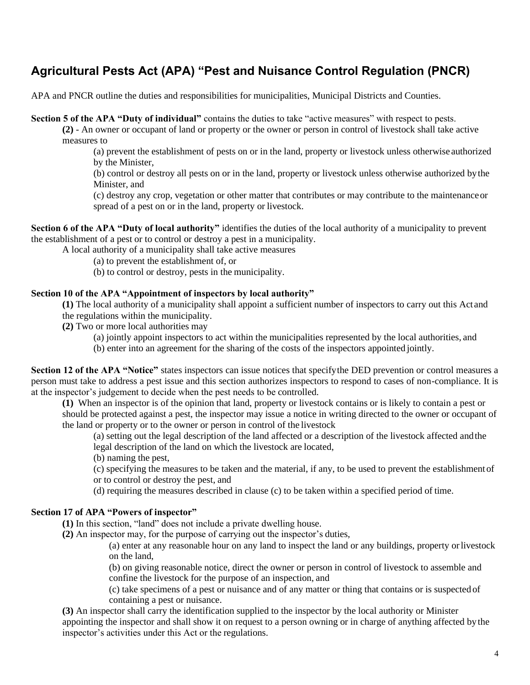## **Agricultural Pests Act (APA) "Pest and Nuisance Control Regulation (PNCR)**

APA and PNCR outline the duties and responsibilities for municipalities, Municipal Districts and Counties.

**Section 5 of the APA "Duty of individual"** contains the duties to take "active measures" with respect to pests.

**(2)** - An owner or occupant of land or property or the owner or person in control of livestock shall take active measures to

(a) prevent the establishment of pests on or in the land, property or livestock unless otherwise authorized by the Minister,

(b) control or destroy all pests on or in the land, property or livestock unless otherwise authorized bythe Minister, and

(c) destroy any crop, vegetation or other matter that contributes or may contribute to the maintenanceor spread of a pest on or in the land, property or livestock.

**Section 6 of the APA "Duty of local authority"** identifies the duties of the local authority of a municipality to prevent the establishment of a pest or to control or destroy a pest in a municipality.

A local authority of a municipality shall take active measures

(a) to prevent the establishment of, or

(b) to control or destroy, pests in the municipality.

#### **Section 10 of the APA "Appointment of inspectors by local authority"**

**(1)** The local authority of a municipality shall appoint a sufficient number of inspectors to carry out this Act and the regulations within the municipality.

**(2)** Two or more local authorities may

(a) jointly appoint inspectors to act within the municipalities represented by the local authorities, and

(b) enter into an agreement for the sharing of the costs of the inspectors appointed jointly.

**Section 12 of the APA "Notice"** states inspectors can issue notices that specifythe DED prevention or control measures a person must take to address a pest issue and this section authorizes inspectors to respond to cases of non-compliance. It is at the inspector's judgement to decide when the pest needs to be controlled.

**(1)** When an inspector is of the opinion that land, property or livestock contains or is likely to contain a pest or should be protected against a pest, the inspector may issue a notice in writing directed to the owner or occupant of the land or property or to the owner or person in control of the livestock

(a) setting out the legal description of the land affected or a description of the livestock affected andthe legal description of the land on which the livestock are located,

(b) naming the pest,

(c) specifying the measures to be taken and the material, if any, to be used to prevent the establishment of or to control or destroy the pest, and

(d) requiring the measures described in clause (c) to be taken within a specified period of time.

#### **Section 17 of APA "Powers of inspector"**

**(1)** In this section, "land" does not include a private dwelling house.

**(2)** An inspector may, for the purpose of carrying out the inspector's duties,

(a) enter at any reasonable hour on any land to inspect the land or any buildings, property orlivestock on the land,

(b) on giving reasonable notice, direct the owner or person in control of livestock to assemble and confine the livestock for the purpose of an inspection, and

(c) take specimens of a pest or nuisance and of any matter or thing that contains or is suspected of containing a pest or nuisance.

**(3)** An inspector shall carry the identification supplied to the inspector by the local authority or Minister appointing the inspector and shall show it on request to a person owning or in charge of anything affected by the inspector's activities under this Act or the regulations.